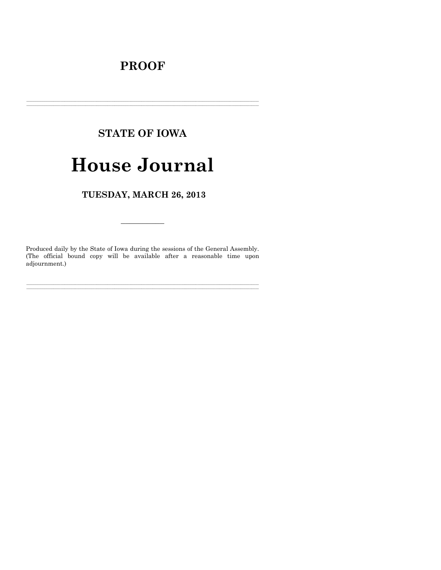## **PROOF**

## **STATE OF IOWA**

# **House Journal**

TUESDAY, MARCH 26, 2013

Produced daily by the State of Iowa during the sessions of the General Assembly. (The official bound copy will be available after a reasonable time upon adjournment.)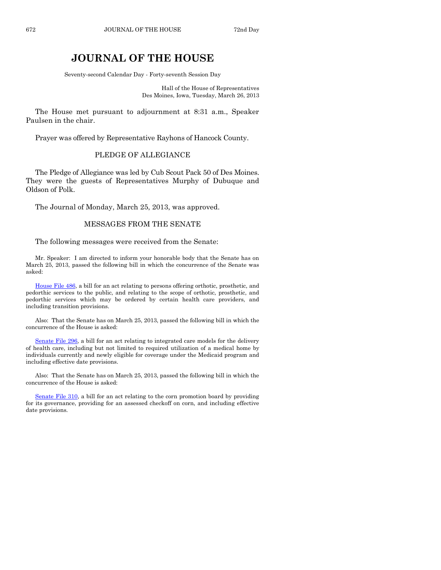### **JOURNAL OF THE HOUSE**

Seventy-second Calendar Day - Forty-seventh Session Day

Hall of the House of Representatives Des Moines, Iowa, Tuesday, March 26, 2013

The House met pursuant to adjournment at 8:31 a.m., Speaker Paulsen in the chair.

Prayer was offered by Representative Rayhons of Hancock County.

#### PLEDGE OF ALLEGIANCE

The Pledge of Allegiance was led by Cub Scout Pack 50 of Des Moines. They were the guests of Representatives Murphy of Dubuque and Oldson of Polk.

The Journal of Monday, March 25, 2013, was approved.

#### MESSAGES FROM THE SENATE

The following messages were received from the Senate:

Mr. Speaker: I am directed to inform your honorable body that the Senate has on March 25, 2013, passed the following bill in which the concurrence of the Senate was asked:

[House File 486,](http://coolice.legis.state.ia.us/Cool-ICE/default.asp?Category=billinfo&Service=Billbook&frame=1&GA=85&hbill=HF486) a bill for an act relating to persons offering orthotic, prosthetic, and pedorthic services to the public, and relating to the scope of orthotic, prosthetic, and pedorthic services which may be ordered by certain health care providers, and including transition provisions.

Also: That the Senate has on March 25, 2013, passed the following bill in which the concurrence of the House is asked:

[Senate File 296,](http://coolice.legis.state.ia.us/Cool-ICE/default.asp?Category=billinfo&Service=Billbook&frame=1&GA=85&hbill=SF296) a bill for an act relating to integrated care models for the delivery of health care, including but not limited to required utilization of a medical home by individuals currently and newly eligible for coverage under the Medicaid program and including effective date provisions.

Also: That the Senate has on March 25, 2013, passed the following bill in which the concurrence of the House is asked:

[Senate File 310,](http://coolice.legis.state.ia.us/Cool-ICE/default.asp?Category=billinfo&Service=Billbook&frame=1&GA=85&hbill=SF310) a bill for an act relating to the corn promotion board by providing for its governance, providing for an assessed checkoff on corn, and including effective date provisions.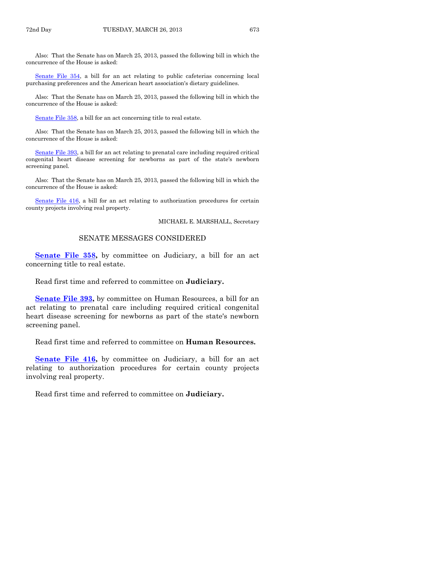Also: That the Senate has on March 25, 2013, passed the following bill in which the concurrence of the House is asked:

[Senate File 354,](http://coolice.legis.state.ia.us/Cool-ICE/default.asp?Category=billinfo&Service=Billbook&frame=1&GA=85&hbill=SF354) a bill for an act relating to public cafeterias concerning local purchasing preferences and the American heart association's dietary guidelines.

Also: That the Senate has on March 25, 2013, passed the following bill in which the concurrence of the House is asked:

[Senate File 358,](http://coolice.legis.state.ia.us/Cool-ICE/default.asp?Category=billinfo&Service=Billbook&frame=1&GA=85&hbill=SF358) a bill for an act concerning title to real estate.

Also: That the Senate has on March 25, 2013, passed the following bill in which the concurrence of the House is asked:

[Senate File 393,](http://coolice.legis.state.ia.us/Cool-ICE/default.asp?Category=billinfo&Service=Billbook&frame=1&GA=85&hbill=SF393) a bill for an act relating to prenatal care including required critical congenital heart disease screening for newborns as part of the state's newborn screening panel.

Also: That the Senate has on March 25, 2013, passed the following bill in which the concurrence of the House is asked:

[Senate File 416,](http://coolice.legis.state.ia.us/Cool-ICE/default.asp?Category=billinfo&Service=Billbook&frame=1&GA=85&hbill=SF416) a bill for an act relating to authorization procedures for certain county projects involving real property.

MICHAEL E. MARSHALL, Secretary

#### SENATE MESSAGES CONSIDERED

**[Senate File 358,](http://coolice.legis.state.ia.us/Cool-ICE/default.asp?Category=billinfo&Service=Billbook&frame=1&GA=85&hbill=SF358)** by committee on Judiciary, a bill for an act concerning title to real estate.

Read first time and referred to committee on **Judiciary.**

**[Senate File 393,](http://coolice.legis.state.ia.us/Cool-ICE/default.asp?Category=billinfo&Service=Billbook&frame=1&GA=85&hbill=SF393)** by committee on Human Resources, a bill for an act relating to prenatal care including required critical congenital heart disease screening for newborns as part of the state's newborn screening panel.

Read first time and referred to committee on **Human Resources.**

**[Senate File 416,](http://coolice.legis.state.ia.us/Cool-ICE/default.asp?Category=billinfo&Service=Billbook&frame=1&GA=85&hbill=SF416)** by committee on Judiciary, a bill for an act relating to authorization procedures for certain county projects involving real property.

Read first time and referred to committee on **Judiciary.**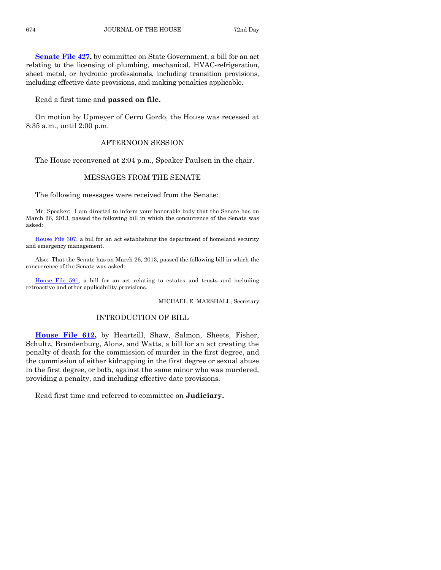**[Senate File 427,](http://coolice.legis.state.ia.us/Cool-ICE/default.asp?Category=billinfo&Service=Billbook&frame=1&GA=85&hbill=SF427)** by committee on State Government, a bill for an act relating to the licensing of plumbing, mechanical, HVAC-refrigeration, sheet metal, or hydronic professionals, including transition provisions, including effective date provisions, and making penalties applicable.

#### Read a first time and **passed on file.**

On motion by Upmeyer of Cerro Gordo, the House was recessed at 8:35 a.m., until 2:00 p.m.

#### AFTERNOON SESSION

The House reconvened at 2:04 p.m., Speaker Paulsen in the chair.

#### MESSAGES FROM THE SENATE

The following messages were received from the Senate:

Mr. Speaker: I am directed to inform your honorable body that the Senate has on March 26, 2013, passed the following bill in which the concurrence of the Senate was asked:

[House File 307,](http://coolice.legis.state.ia.us/Cool-ICE/default.asp?Category=billinfo&Service=Billbook&frame=1&GA=85&hbill=HF307) a bill for an act establishing the department of homeland security and emergency management.

Also: That the Senate has on March 26, 2013, passed the following bill in which the concurrence of the Senate was asked:

[House File 591,](http://coolice.legis.state.ia.us/Cool-ICE/default.asp?Category=billinfo&Service=Billbook&frame=1&GA=85&hbill=HF591) a bill for an act relating to estates and trusts and including retroactive and other applicability provisions.

MICHAEL E. MARSHALL, Secretary

#### INTRODUCTION OF BILL

**[House File 612,](http://coolice.legis.state.ia.us/Cool-ICE/default.asp?Category=billinfo&Service=Billbook&frame=1&GA=85&hbill=HF612)** by Heartsill, Shaw, Salmon, Sheets, Fisher, Schultz, Brandenburg, Alons, and Watts, a bill for an act creating the penalty of death for the commission of murder in the first degree, and the commission of either kidnapping in the first degree or sexual abuse in the first degree, or both, against the same minor who was murdered, providing a penalty, and including effective date provisions.

Read first time and referred to committee on **Judiciary.**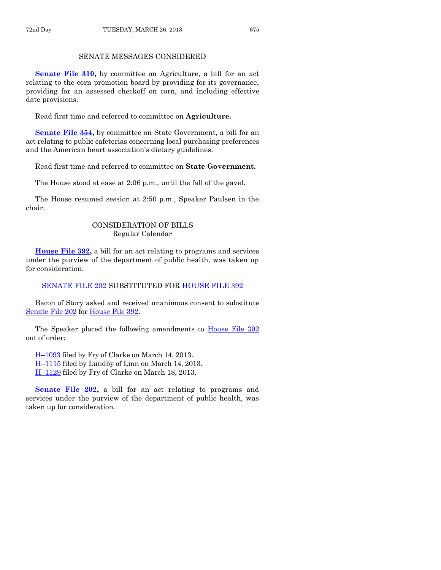#### SENATE MESSAGES CONSIDERED

**[Senate File 310,](http://coolice.legis.state.ia.us/Cool-ICE/default.asp?Category=billinfo&Service=Billbook&frame=1&GA=85&hbill=SF310)** by committee on Agriculture, a bill for an act relating to the corn promotion board by providing for its governance, providing for an assessed checkoff on corn, and including effective date provisions.

Read first time and referred to committee on **Agriculture.**

**[Senate File 354,](http://coolice.legis.state.ia.us/Cool-ICE/default.asp?Category=billinfo&Service=Billbook&frame=1&GA=85&hbill=SF354)** by committee on State Government, a bill for an act relating to public cafeterias concerning local purchasing preferences and the American heart association's dietary guidelines.

Read first time and referred to committee on **State Government.**

The House stood at ease at 2:06 p.m., until the fall of the gavel.

The House resumed session at 2:50 p.m., Speaker Paulsen in the chair.

#### CONSIDERATION OF BILLS Regular Calendar

**[House File 392,](http://coolice.legis.state.ia.us/Cool-ICE/default.asp?Category=billinfo&Service=Billbook&frame=1&GA=85&hbill=HF392)** a bill for an act relating to programs and services under the purview of the department of public health, was taken up for consideration.

[SENATE FILE 202](http://coolice.legis.state.ia.us/Cool-ICE/default.asp?Category=billinfo&Service=Billbook&frame=1&GA=85&hbill=SF202) SUBSTITUTED FOR [HOUSE FILE 392](http://coolice.legis.state.ia.us/Cool-ICE/default.asp?Category=billinfo&Service=Billbook&frame=1&GA=85&hbill=HF392)

Bacon of Story asked and received unanimous consent to substitute [Senate File 202](http://coolice.legis.state.ia.us/Cool-ICE/default.asp?Category=billinfo&Service=Billbook&frame=1&GA=85&hbill=SF202) for [House File 392.](http://coolice.legis.state.ia.us/Cool-ICE/default.asp?Category=billinfo&Service=Billbook&frame=1&GA=85&hbill=HF392)

The Speaker placed the following amendments to [House File 392](http://coolice.legis.state.ia.us/Cool-ICE/default.asp?Category=billinfo&Service=Billbook&frame=1&GA=85&hbill=HF392) out of order:

H–[1093](http://coolice.legis.state.ia.us/Cool-ICE/default.asp?Category=billinfo&Service=Billbook&frame=1&GA=85&hbill=H1093) filed by Fry of Clarke on March 14, 2013. H–[1115](http://coolice.legis.state.ia.us/Cool-ICE/default.asp?Category=billinfo&Service=Billbook&frame=1&GA=85&hbill=H1115) filed by Lundby of Linn on March 14, 2013. H–[1129](http://coolice.legis.state.ia.us/Cool-ICE/default.asp?Category=billinfo&Service=Billbook&frame=1&GA=85&hbill=H1129) filed by Fry of Clarke on March 18, 2013.

**[Senate File 202,](http://coolice.legis.state.ia.us/Cool-ICE/default.asp?Category=billinfo&Service=Billbook&frame=1&GA=85&hbill=SF202) a bill for an act relating to programs and** services under the purview of the department of public health, was taken up for consideration.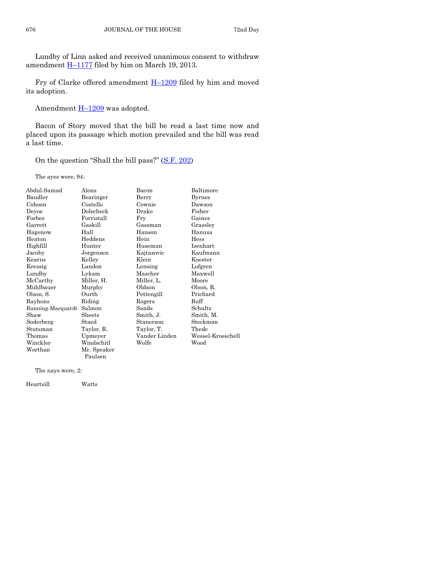Lundby of Linn asked and received unanimous consent to withdraw amendment  $\underline{H-1177}$  $\underline{H-1177}$  $\underline{H-1177}$  filed by him on March 19, 2013.

Fry of Clarke offered amendment H–[1209](http://coolice.legis.state.ia.us/Cool-ICE/default.asp?Category=billinfo&Service=Billbook&frame=1&GA=85&hbill=H1209) filed by him and moved its adoption.

Amendment  $H-1209$  $H-1209$  was adopted.

Bacon of Story moved that the bill be read a last time now and placed upon its passage which motion prevailed and the bill was read a last time.

On the question "Shall the bill pass?" ([S.F. 202\)](http://coolice.legis.state.ia.us/Cool-ICE/default.asp?Category=billinfo&Service=Billbook&frame=1&GA=85&hbill=SF202)

The ayes were, 94:

| Abdul-Samad       | Alons       | Bacon         | Baltimore         |
|-------------------|-------------|---------------|-------------------|
| Baudler           | Bearinger   | Berry         | <b>Byrnes</b>     |
| Cohoon            | Costello    | Cownie        | Dawson            |
| Deyoe             | Dolecheck   | Drake         | Fisher            |
| Forbes            | Forristall  | Fry           | Gaines            |
| Garrett           | Gaskill     | Gassman       | Grassley          |
| Hagenow           | Hall        | Hanson        | Hanusa            |
| Heaton            | Heddens     | Hein          | Hess              |
| Highfill          | Hunter      | Huseman       | Isenhart          |
| Jacoby            | Jorgensen   | Kajtazovic    | Kaufmann          |
| Kearns            | Kelley      | Klein         | Koester           |
| Kressig           | Landon      | Lensing       | Lofgren           |
| Lundby            | Lykam       | Mascher       | Maxwell           |
| McCarthy          | Miller, H.  | Miller, L.    | Moore             |
| Muhlbauer         | Murphy      | Oldson        | Olson, R.         |
| Olson, S.         | Ourth       | Pettengill    | Prichard          |
| Rayhons           | Riding      | Rogers        | Ruff              |
| Running-Marquardt | Salmon      | Sands         | Schultz           |
| Shaw              | Sheets      | Smith, J.     | Smith, M.         |
| Soderberg         | Staed       | Stanerson     | Steckman          |
| Stutsman          | Taylor, R.  | Taylor, T.    | Thede             |
| Thomas            | Upmeyer     | Vander Linden | Wessel-Kroeschell |
| Winckler          | Windschitl  | Wolfe         | Wood              |
| Worthan           | Mr. Speaker |               |                   |
|                   | Paulsen     |               |                   |

The nays were, 2:

Heartsill Watts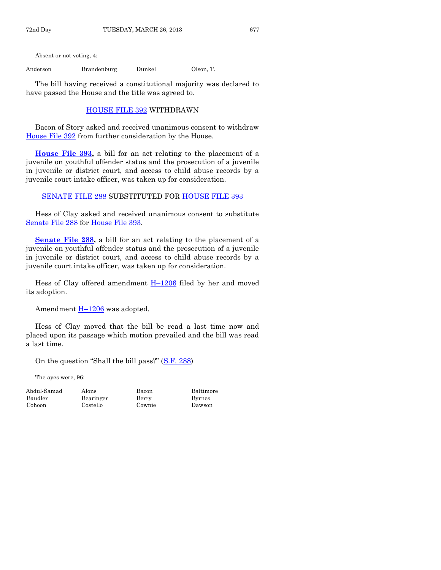Absent or not voting, 4:

Anderson Brandenburg Dunkel Olson, T.

The bill having received a constitutional majority was declared to have passed the House and the title was agreed to.

#### [HOUSE FILE 392](http://coolice.legis.state.ia.us/Cool-ICE/default.asp?Category=billinfo&Service=Billbook&frame=1&GA=85&hbill=HF392) WITHDRAWN

Bacon of Story asked and received unanimous consent to withdraw [House File 392](http://coolice.legis.state.ia.us/Cool-ICE/default.asp?Category=billinfo&Service=Billbook&frame=1&GA=85&hbill=HF392) from further consideration by the House.

**[House File 393,](http://coolice.legis.state.ia.us/Cool-ICE/default.asp?Category=billinfo&Service=Billbook&frame=1&GA=85&hbill=HF393)** a bill for an act relating to the placement of a juvenile on youthful offender status and the prosecution of a juvenile in juvenile or district court, and access to child abuse records by a juvenile court intake officer, was taken up for consideration.

[SENATE FILE 288](http://coolice.legis.state.ia.us/Cool-ICE/default.asp?Category=billinfo&Service=Billbook&frame=1&GA=85&hbill=SF288) SUBSTITUTED FOR [HOUSE FILE 393](http://coolice.legis.state.ia.us/Cool-ICE/default.asp?Category=billinfo&Service=Billbook&frame=1&GA=85&hbill=HF393)

Hess of Clay asked and received unanimous consent to substitute [Senate File 288](http://coolice.legis.state.ia.us/Cool-ICE/default.asp?Category=billinfo&Service=Billbook&frame=1&GA=85&hbill=SF288) for [House File 393.](http://coolice.legis.state.ia.us/Cool-ICE/default.asp?Category=billinfo&Service=Billbook&frame=1&GA=85&hbill=HF393)

**<u>Senate File 288</u>**, a bill for an act relating to the placement of a juvenile on youthful offender status and the prosecution of a juvenile in juvenile or district court, and access to child abuse records by a juvenile court intake officer, was taken up for consideration.

Hess of Clay offered amendment H–[1206](http://coolice.legis.state.ia.us/Cool-ICE/default.asp?Category=billinfo&Service=Billbook&frame=1&GA=85&hbill=H1206) filed by her and moved its adoption.

Amendment  $H-1206$  $H-1206$  was adopted.

Hess of Clay moved that the bill be read a last time now and placed upon its passage which motion prevailed and the bill was read a last time.

On the question "Shall the bill pass?" ([S.F. 288\)](http://coolice.legis.state.ia.us/Cool-ICE/default.asp?Category=billinfo&Service=Billbook&frame=1&GA=85&hbill=SF288)

The ayes were, 96:

Baudler Bearinger Berry Byrnes Cohoon Costello Cownie Dawson

Abdul-Samad Alons Bacon Baltimore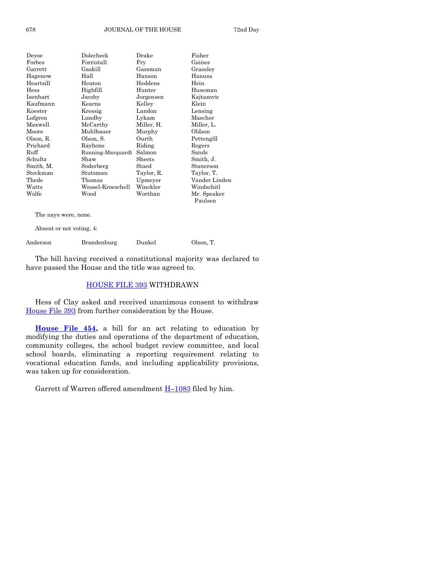| Deyoe          | Dolecheck         | Drake      | Fisher        |
|----------------|-------------------|------------|---------------|
| Forbes         | Forristall        | Fry        | Gaines        |
| $\rm{Garrett}$ | Gaskill           | Gassman    | Grassley      |
| Hagenow        | Hall              | Hanson     | Hanusa        |
| Heartsill      | Heaton            | Heddens    | Hein          |
| Hess           | Highfill          | Hunter     | Huseman       |
| Isenhart       | Jacoby            | Jorgensen  | Kajtazovic    |
| Kaufmann       | Kearns            | Kelley     | Klein         |
| Koester        | Kressig           | Landon     | Lensing       |
| Lofgren        | Lundby            | Lykam      | Mascher       |
| Maxwell        | McCarthy          | Miller, H. | Miller, L.    |
| Moore          | Muhlbauer         | Murphy     | Oldson        |
| Olson, R.      | Olson, S.         | Ourth      | Pettengill    |
| Prichard       | Rayhons           | Riding     | Rogers        |
| Ruff           | Running-Marquardt | Salmon     | Sands         |
| Schultz        | Shaw              | Sheets     | Smith, J.     |
| Smith, M.      | Soderberg         | Staed      | Stanerson     |
| Steckman       | Stutsman          | Taylor, R. | Taylor, T.    |
| Thede          | Thomas            | Upmeyer    | Vander Linden |
| Watts          | Wessel-Kroeschell | Winckler   | Windschitl    |
| Wolfe          | Wood              | Worthan    | Mr. Speaker   |
|                |                   |            | Paulsen       |
|                |                   |            |               |

The nays were, none.

Absent or not voting, 4:

| Anderson | Brandenburg | Dunkel | Olson, T. |
|----------|-------------|--------|-----------|
|----------|-------------|--------|-----------|

The bill having received a constitutional majority was declared to have passed the House and the title was agreed to.

#### [HOUSE FILE 393](http://coolice.legis.state.ia.us/Cool-ICE/default.asp?Category=billinfo&Service=Billbook&frame=1&GA=85&hbill=HF393) WITHDRAWN

Hess of Clay asked and received unanimous consent to withdraw [House File 393](http://coolice.legis.state.ia.us/Cool-ICE/default.asp?Category=billinfo&Service=Billbook&frame=1&GA=85&hbill=HF393) from further consideration by the House.

**[House File 454,](http://coolice.legis.state.ia.us/Cool-ICE/default.asp?Category=billinfo&Service=Billbook&frame=1&GA=85&hbill=HF454)** a bill for an act relating to education by modifying the duties and operations of the department of education, community colleges, the school budget review committee, and local school boards, eliminating a reporting requirement relating to vocational education funds, and including applicability provisions, was taken up for consideration.

Garrett of Warren offered amendment  $H-1083$  $H-1083$  filed by him.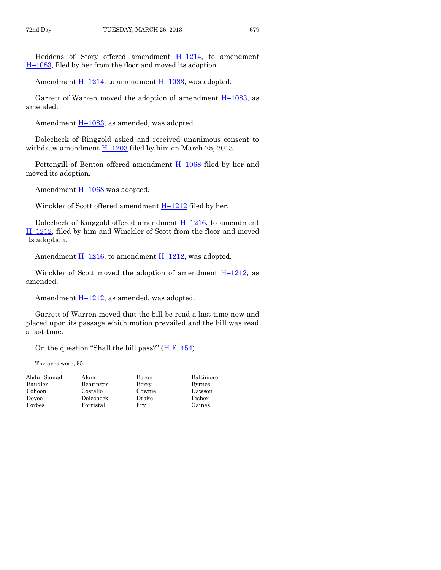Heddens of Story offered amendment H–[1214,](http://coolice.legis.state.ia.us/Cool-ICE/default.asp?Category=billinfo&Service=Billbook&frame=1&GA=85&hbill=H1214) to amendment H–[1083,](http://coolice.legis.state.ia.us/Cool-ICE/default.asp?Category=billinfo&Service=Billbook&frame=1&GA=85&hbill=H1083) filed by her from the floor and moved its adoption.

Amendment  $\underline{H-1214}$ , to amendment  $\underline{H-1083}$ , was adopted.

Garrett of Warren moved the adoption of amendment  $H-1083$ , as amended.

Amendment  $H-1083$ , as amended, was adopted.

Dolecheck of Ringgold asked and received unanimous consent to withdraw amendment  $H-1203$  $H-1203$  filed by him on March 25, 2013.

Pettengill of Benton offered amendment  $H-1068$  $H-1068$  filed by her and moved its adoption.

Amendment **H**-[1068](http://coolice.legis.state.ia.us/Cool-ICE/default.asp?Category=billinfo&Service=Billbook&frame=1&GA=85&hbill=H1068) was adopted.

Winckler of Scott offered amendment  $H-1212$  $H-1212$  filed by her.

Dolecheck of Ringgold offered amendment  $H-1216$ , to amendment H–[1212,](http://coolice.legis.state.ia.us/Cool-ICE/default.asp?Category=billinfo&Service=Billbook&frame=1&GA=85&hbill=H1212) filed by him and Winckler of Scott from the floor and moved its adoption.

Amendment  $H-1216$ , to amendment  $H-1212$ , was adopted.

Winckler of Scott moved the adoption of amendment  $H-1212$ , as amended.

Amendment H-[1212,](http://coolice.legis.state.ia.us/Cool-ICE/default.asp?Category=billinfo&Service=Billbook&frame=1&GA=85&hbill=H1212) as amended, was adopted.

Garrett of Warren moved that the bill be read a last time now and placed upon its passage which motion prevailed and the bill was read a last time.

On the question "Shall the bill pass?"  $(H.F. 454)$  $(H.F. 454)$ 

The ayes were, 95:

| Abdul-Samad | Alons      | Bacon  | Baltimore     |
|-------------|------------|--------|---------------|
| Baudler     | Bearinger  | Berry  | <b>Byrnes</b> |
| Cohoon      | Costello   | Cownie | Dawson        |
| Devoe       | Dolecheck  | Drake  | Fisher        |
| Forbes      | Forristall | Fry    | Gaines        |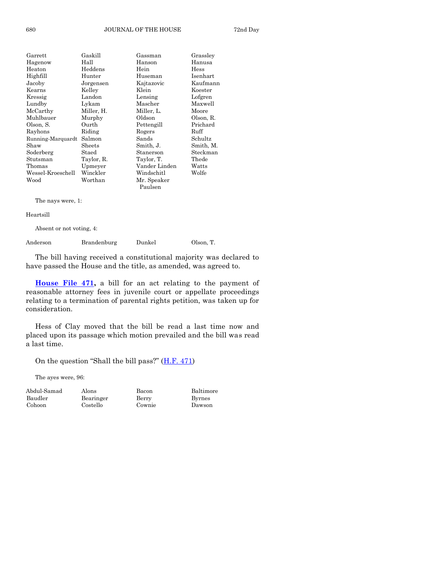| Garrett           | Gaskill    | Gassman       | Grassley  |
|-------------------|------------|---------------|-----------|
| Hagenow           | Hall       | Hanson        | Hanusa    |
| Heaton            | Heddens    | Hein          | Hess      |
| Highfill          | Hunter     | Huseman       | Isenhart  |
| Jacoby            | Jorgensen  | Kajtazovic    | Kaufmann  |
| Kearns            | Kelley     | Klein         | Koester   |
| Kressig           | Landon     | Lensing       | Lofgren   |
| Lundby            | Lykam      | Mascher       | Maxwell   |
| McCarthy          | Miller, H. | Miller, L.    | Moore     |
| Muhlbauer         | Murphy     | Oldson        | Olson, R. |
| Olson, S.         | Ourth      | Pettengill    | Prichard  |
| Rayhons           | Riding     | Rogers        | Ruff      |
| Running-Marquardt | Salmon     | Sands         | Schultz   |
| Shaw              | Sheets     | Smith, J.     | Smith, M. |
| Soderberg         | Staed      | Stanerson     | Steckman  |
| Stutsman          | Taylor, R. | Taylor, T.    | Thede     |
| Thomas            | Upmeyer    | Vander Linden | Watts     |
| Wessel-Kroeschell | Winckler   | Windschitl    | Wolfe     |
| Wood              | Worthan    | Mr. Speaker   |           |
|                   |            | Paulsen       |           |
|                   |            |               |           |

The nays were, 1:

Heartsill

Absent or not voting, 4:

| Anderson | Brandenburg | Dunkel | Olson, T. |
|----------|-------------|--------|-----------|
|          |             |        |           |

The bill having received a constitutional majority was declared to have passed the House and the title, as amended, was agreed to.

**[House File 471,](http://coolice.legis.state.ia.us/Cool-ICE/default.asp?Category=billinfo&Service=Billbook&frame=1&GA=85&hbill=HF471)** a bill for an act relating to the payment of reasonable attorney fees in juvenile court or appellate proceedings relating to a termination of parental rights petition, was taken up for consideration.

Hess of Clay moved that the bill be read a last time now and placed upon its passage which motion prevailed and the bill was read a last time.

On the question "Shall the bill pass?" ([H.F. 471\)](http://coolice.legis.state.ia.us/Cool-ICE/default.asp?Category=billinfo&Service=Billbook&frame=1&GA=85&hbill=HF471)

Costello

The ayes were, 96:

Abdul-Samad Alons Bacon Baltimore Baudler Bearinger Berry Byrnes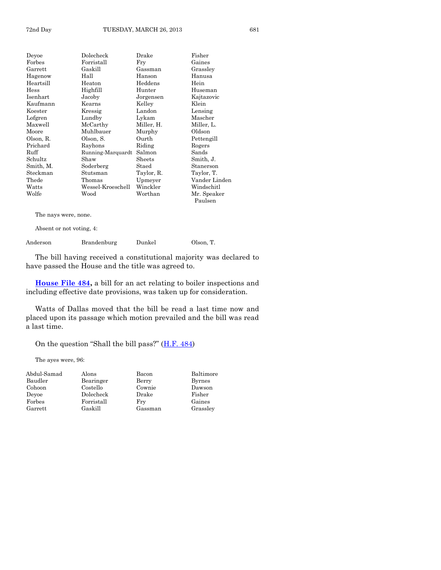| Devoe          | Dolecheck         | Drake      | Fisher        |
|----------------|-------------------|------------|---------------|
| $\rm{Forbes}$  | Forristall        | Fry        | Gaines        |
| $\rm{Garrett}$ | Gaskill           | Gassman    | Grassley      |
| Hagenow        | Hall              | Hanson     | Hanusa        |
| Heartsill      | Heaton            | Heddens    | Hein          |
| $\rm{Hess}$    | Highfill          | Hunter     | Huseman       |
| Isenhart       | Jacoby            | Jorgensen  | Kajtazovic    |
| Kaufmann       | Kearns            | Kelley     | Klein         |
| Koester        | Kressig           | Landon     | Lensing       |
| Lofgren        | Lundby            | Lykam      | Mascher       |
| Maxwell        | McCarthy          | Miller, H. | Miller, L.    |
| Moore          | Muhlbauer         | Murphy     | Oldson        |
| Olson, R.      | Olson, S.         | Ourth      | Pettengill    |
| Prichard       | Rayhons           | Riding     | Rogers        |
| Ruff           | Running-Marquardt | Salmon     | Sands         |
| Schultz        | Shaw              | Sheets     | Smith, J.     |
| Smith, M.      | Soderberg         | Staed      | Stanerson     |
| Steckman       | Stutsman          | Taylor, R. | Taylor, T.    |
| $\rm{The de}$  | Thomas            | Upmeyer    | Vander Linden |
| Watts          | Wessel-Kroeschell | Winckler   | Windschitl    |
| Wolfe          | Wood              | Worthan    | Mr. Speaker   |
|                |                   |            | Paulsen       |

The nays were, none.

Absent or not voting, 4:

Anderson Brandenburg Dunkel Olson, T.

The bill having received a constitutional majority was declared to have passed the House and the title was agreed to.

**[House File 484,](http://coolice.legis.state.ia.us/Cool-ICE/default.asp?Category=billinfo&Service=Billbook&frame=1&GA=85&hbill=HF484)** a bill for an act relating to boiler inspections and including effective date provisions, was taken up for consideration.

Watts of Dallas moved that the bill be read a last time now and placed upon its passage which motion prevailed and the bill was read a last time.

On the question "Shall the bill pass?" ([H.F. 484\)](http://coolice.legis.state.ia.us/Cool-ICE/default.asp?Category=billinfo&Service=Billbook&frame=1&GA=85&hbill=HF484)

The ayes were, 96:

| Abdul-Samad | Alons      | Bacon   | Baltimore     |
|-------------|------------|---------|---------------|
| Baudler     | Bearinger  | Berry   | <b>Byrnes</b> |
| Cohoon      | Costello   | Cownie  | Dawson        |
| Devoe       | Dolecheck  | Drake   | Fisher        |
| Forbes      | Forristall | Fry     | Gaines        |
| Garrett     | Gaskill    | Gassman | Grassley      |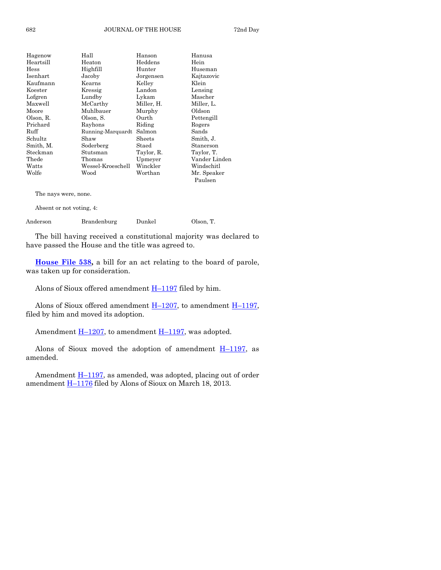| Hagenow       | Hall              | Hanson     | Hanusa        |
|---------------|-------------------|------------|---------------|
| Heartsill     | Heaton            | Heddens    | Hein          |
| $\rm{Hess}$   | Highfill          | Hunter     | Huseman       |
| Isenhart      | Jacoby            | Jorgensen  | Kajtazovic    |
| Kaufmann      | Kearns            | Kelley     | Klein         |
| Koester       | Kressig           | Landon     | Lensing       |
| Lofgren       | Lundby            | Lykam      | Mascher       |
| Maxwell       | McCarthy          | Miller, H. | Miller, L.    |
| Moore         | Muhlbauer         | Murphy     | Oldson        |
| Olson, R.     | Olson, S.         | Ourth      | Pettengill    |
| Prichard      | Rayhons           | Riding     | Rogers        |
| Ruff          | Running-Marquardt | Salmon     | Sands         |
| Schultz       | Shaw              | Sheets     | Smith, J.     |
| Smith, M.     | Soderberg         | Staed      | Stanerson     |
| Steckman      | Stutsman          | Taylor, R. | Taylor, T.    |
| $\rm{The de}$ | Thomas            | Upmeyer    | Vander Linden |
| Watts         | Wessel-Kroeschell | Winckler   | Windschitl    |
| Wolfe         | Wood              | Worthan    | Mr. Speaker   |
|               |                   |            | Paulsen       |
|               |                   |            |               |

The nays were, none.

Absent or not voting, 4:

Anderson Brandenburg Dunkel Olson, T.

The bill having received a constitutional majority was declared to have passed the House and the title was agreed to.

**[House File 538,](http://coolice.legis.state.ia.us/Cool-ICE/default.asp?Category=billinfo&Service=Billbook&frame=1&GA=85&hbill=HF538)** a bill for an act relating to the board of parole, was taken up for consideration.

Alons of Sioux offered amendment  $H-1197$  $H-1197$  filed by him.

Alons of Sioux offered amendment  $H-1207$ , to amendment  $H-1197$ , filed by him and moved its adoption.

Amendment  $H-1207$ , to amendment  $H-1197$ , was adopted.

Alons of Sioux moved the adoption of amendment  $H-1197$ , as amended.

Amendment **H**-[1197,](http://coolice.legis.state.ia.us/Cool-ICE/default.asp?Category=billinfo&Service=Billbook&frame=1&GA=85&hbill=H1197) as amended, was adopted, placing out of order amendment **H**-[1176](http://coolice.legis.state.ia.us/Cool-ICE/default.asp?Category=billinfo&Service=Billbook&frame=1&GA=85&hbill=H1176) filed by Alons of Sioux on March 18, 2013.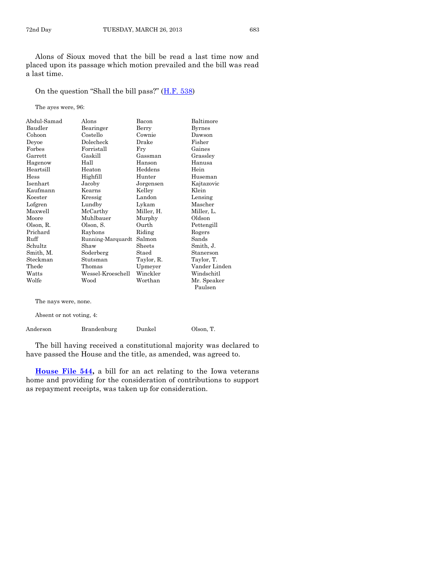Alons of Sioux moved that the bill be read a last time now and placed upon its passage which motion prevailed and the bill was read a last time.

On the question "Shall the bill pass?" ([H.F. 538\)](http://coolice.legis.state.ia.us/Cool-ICE/default.asp?Category=billinfo&Service=Billbook&frame=1&GA=85&hbill=HF538)

The ayes were, 96:

| Abdul-Samad | Alons             | Bacon      | Baltimore              |
|-------------|-------------------|------------|------------------------|
| Baudler     | Bearinger         | Berry      | Byrnes                 |
| Cohoon      | Costello          | Cownie     | Dawson                 |
| Deyoe       | Dolecheck         | Drake      | Fisher                 |
| Forbes      | Forristall        | Fry        | Gaines                 |
| Garrett     | Gaskill           | Gassman    | Grassley               |
| Hagenow     | Hall              | Hanson     | Hanusa                 |
| Heartsill   | Heaton            | Heddens    | Hein                   |
| Hess        | Highfill          | Hunter     | Huseman                |
| Isenhart    | Jacoby            | Jorgensen  | Kajtazovic             |
| Kaufmann    | Kearns            | Kelley     | Klein                  |
| Koester     | Kressig           | Landon     | Lensing                |
| Lofgren     | Lundby            | Lykam      | Mascher                |
| Maxwell     | McCarthy          | Miller, H. | Miller, L.             |
| Moore       | Muhlbauer         | Murphy     | Oldson                 |
| Olson, R.   | Olson, S.         | Ourth      | Pettengill             |
| Prichard    | Rayhons           | Riding     | Rogers                 |
| Ruff        | Running-Marquardt | Salmon     | Sands                  |
| Schultz     | Shaw              | Sheets     | Smith, J.              |
| Smith, M.   | Soderberg         | Staed      | Stanerson              |
| Steckman    | Stutsman          | Taylor, R. | Taylor, T.             |
| Thede       | Thomas            | Upmeyer    | Vander Linden          |
| Watts       | Wessel-Kroeschell | Winckler   | Windschitl             |
| Wolfe       | Wood              | Worthan    | Mr. Speaker<br>Paulsen |

The nays were, none.

Absent or not voting, 4:

| Anderson | Brandenburg | Dunkel | Olson, T. |
|----------|-------------|--------|-----------|
|----------|-------------|--------|-----------|

The bill having received a constitutional majority was declared to have passed the House and the title, as amended, was agreed to.

**[House File 544,](http://coolice.legis.state.ia.us/Cool-ICE/default.asp?Category=billinfo&Service=Billbook&frame=1&GA=85&hbill=HF544)** a bill for an act relating to the Iowa veterans home and providing for the consideration of contributions to support as repayment receipts, was taken up for consideration.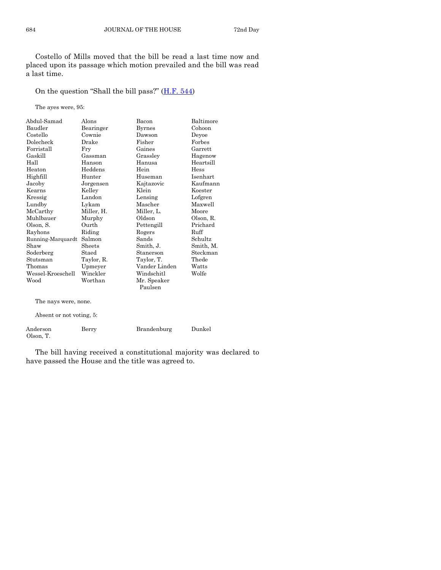Costello of Mills moved that the bill be read a last time now and placed upon its passage which motion prevailed and the bill was read a last time.

On the question "Shall the bill pass?" ([H.F. 544\)](http://coolice.legis.state.ia.us/Cool-ICE/default.asp?Category=billinfo&Service=Billbook&frame=1&GA=85&hbill=HF544)

The ayes were, 95:

| Abdul-Samad              | Alons      | Bacon                  | Baltimore |
|--------------------------|------------|------------------------|-----------|
| Baudler                  | Bearinger  | <b>Byrnes</b>          | Cohoon    |
| Costello                 | Cownie     | Dawson                 | Devoe     |
| Dolecheck                | Drake      | Fisher                 | Forbes    |
| Forristall               | Fry        | Gaines                 | Garrett   |
| Gaskill                  | Gassman    | Grassley               | Hagenow   |
| Hall                     | Hanson     | Hanusa                 | Heartsill |
| Heaton                   | Heddens    | Hein                   | Hess      |
| Highfill                 | Hunter     | Huseman                | Isenhart  |
| Jacoby                   | Jorgensen  | Kajtazovic             | Kaufmann  |
| Kearns                   | Kelley     | Klein                  | Koester   |
| Kressig                  | Landon     | Lensing                | Lofgren   |
| Lundby                   | Lykam      | Mascher                | Maxwell   |
| McCarthy                 | Miller, H. | Miller, L.             | Moore     |
| Muhlbauer                | Murphy     | Oldson                 | Olson, R. |
| Olson, S.                | Ourth      | Pettengill             | Prichard  |
| Rayhons                  | Riding     | Rogers                 | Ruff      |
| Running-Marquardt        | Salmon     | Sands                  | Schultz   |
| Shaw                     | Sheets     | Smith, J.              | Smith, M. |
| Soderberg                | Staed      | Stanerson              | Steckman  |
| Stutsman                 | Taylor, R. | Taylor, T.             | Thede     |
| Thomas                   | Upmeyer    | Vander Linden          | Watts     |
| Wessel-Kroeschell        | Winckler   | Windschitl             | Wolfe     |
| Wood                     | Worthan    | Mr. Speaker<br>Paulsen |           |
|                          |            |                        |           |
| The nays were, none.     |            |                        |           |
| Absent or not voting, 5: |            |                        |           |
| Anderson                 | Berry      | Brandenburg            | Dunkel    |

The bill having received a constitutional majority was declared to have passed the House and the title was agreed to.

Olson, T.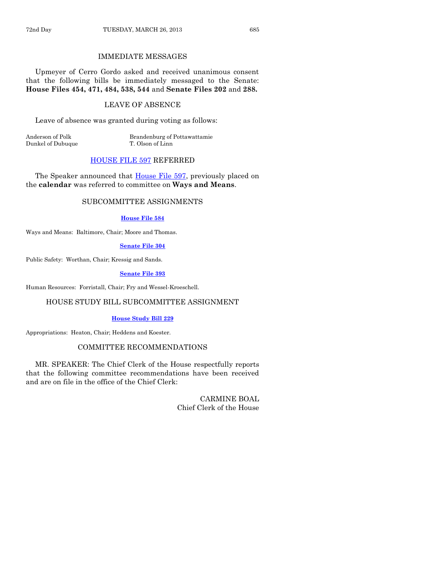#### IMMEDIATE MESSAGES

Upmeyer of Cerro Gordo asked and received unanimous consent that the following bills be immediately messaged to the Senate: **House Files 454, 471, 484, 538, 544** and **Senate Files 202** and **288.**

#### LEAVE OF ABSENCE

Leave of absence was granted during voting as follows:

Dunkel of Dubuque T. Olson of Linn

Anderson of Polk Brandenburg of Pottawattamie

#### [HOUSE FILE 597](http://coolice.legis.state.ia.us/Cool-ICE/default.asp?Category=billinfo&Service=Billbook&frame=1&GA=85&hbill=HF597) REFERRED

The Speaker announced that [House File 597,](http://coolice.legis.state.ia.us/Cool-ICE/default.asp?Category=billinfo&Service=Billbook&frame=1&GA=85&hbill=HF597) previously placed on the **calendar** was referred to committee on **Ways and Means**.

#### SUBCOMMITTEE ASSIGNMENTS

#### **[House File 584](http://coolice.legis.state.ia.us/Cool-ICE/default.asp?Category=billinfo&Service=Billbook&frame=1&GA=85&hbill=HF584)**

Ways and Means: Baltimore, Chair; Moore and Thomas.

#### **[Senate File 304](http://coolice.legis.state.ia.us/Cool-ICE/default.asp?Category=billinfo&Service=Billbook&frame=1&GA=85&hbill=SF304)**

Public Safety: Worthan, Chair; Kressig and Sands.

#### **[Senate File 393](http://coolice.legis.state.ia.us/Cool-ICE/default.asp?Category=billinfo&Service=Billbook&frame=1&GA=85&hbill=SF393)**

Human Resources: Forristall, Chair; Fry and Wessel-Kroeschell.

#### HOUSE STUDY BILL SUBCOMMITTEE ASSIGNMENT

#### **[House Study Bill 229](http://coolice.legis.state.ia.us/Cool-ICE/default.asp?Category=billinfo&Service=Billbook&frame=1&GA=85&hbill=HSB229)**

Appropriations: Heaton, Chair; Heddens and Koester.

#### COMMITTEE RECOMMENDATIONS

MR. SPEAKER: The Chief Clerk of the House respectfully reports that the following committee recommendations have been received and are on file in the office of the Chief Clerk:

> CARMINE BOAL Chief Clerk of the House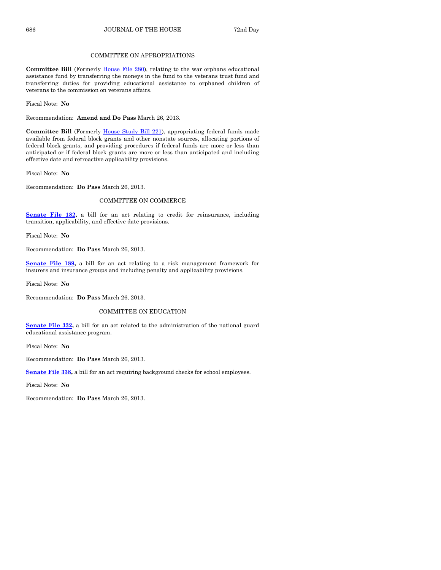#### COMMITTEE ON APPROPRIATIONS

**Committee Bill** (Formerly [House File 280\),](http://coolice.legis.state.ia.us/Cool-ICE/default.asp?Category=billinfo&Service=Billbook&frame=1&GA=85&hbill=HF280) relating to the war orphans educational assistance fund by transferring the moneys in the fund to the veterans trust fund and transferring duties for providing educational assistance to orphaned children of veterans to the commission on veterans affairs.

Fiscal Note: **No**

Recommendation: **Amend and Do Pass** March 26, 2013.

**Committee Bill** (Formerly [House Study Bill 221\)](http://coolice.legis.state.ia.us/Cool-ICE/default.asp?Category=billinfo&Service=Billbook&frame=1&GA=85&hbill=HSB221), appropriating federal funds made available from federal block grants and other nonstate sources, allocating portions of federal block grants, and providing procedures if federal funds are more or less than anticipated or if federal block grants are more or less than anticipated and including effective date and retroactive applicability provisions.

Fiscal Note: **No**

Recommendation: **Do Pass** March 26, 2013.

#### COMMITTEE ON COMMERCE

**[Senate File 182,](http://coolice.legis.state.ia.us/Cool-ICE/default.asp?Category=billinfo&Service=Billbook&frame=1&GA=85&hbill=SF182)** a bill for an act relating to credit for reinsurance, including transition, applicability, and effective date provisions.

Fiscal Note: **No**

Recommendation: **Do Pass** March 26, 2013.

**[Senate File 189,](http://coolice.legis.state.ia.us/Cool-ICE/default.asp?Category=billinfo&Service=Billbook&frame=1&GA=85&hbill=SF189)** a bill for an act relating to a risk management framework for insurers and insurance groups and including penalty and applicability provisions.

Fiscal Note: **No**

Recommendation: **Do Pass** March 26, 2013.

#### COMMITTEE ON EDUCATION

**[Senate File 332,](http://coolice.legis.state.ia.us/Cool-ICE/default.asp?Category=billinfo&Service=Billbook&frame=1&GA=85&hbill=SF332)** a bill for an act related to the administration of the national guard educational assistance program.

Fiscal Note: **No**

Recommendation: **Do Pass** March 26, 2013.

**[Senate File 338,](http://coolice.legis.state.ia.us/Cool-ICE/default.asp?Category=billinfo&Service=Billbook&frame=1&GA=85&hbill=SF338)** a bill for an act requiring background checks for school employees.

Fiscal Note: **No**

Recommendation: **Do Pass** March 26, 2013.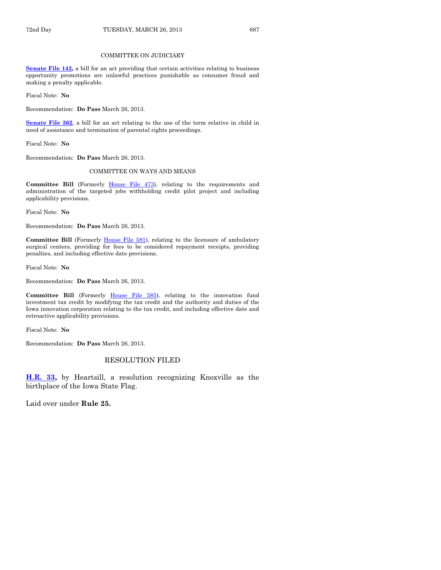#### COMMITTEE ON JUDICIARY

**[Senate File 142,](http://coolice.legis.state.ia.us/Cool-ICE/default.asp?Category=billinfo&Service=Billbook&frame=1&GA=85&hbill=SF142)** a bill for an act providing that certain activities relating to business opportunity promotions are unlawful practices punishable as consumer fraud and making a penalty applicable.

Fiscal Note: **No**

Recommendation: **Do Pass** March 26, 2013.

**[Senate File 362](http://coolice.legis.state.ia.us/Cool-ICE/default.asp?Category=billinfo&Service=Billbook&frame=1&GA=85&hbill=SF362)**, a bill for an act relating to the use of the term relative in child in need of assistance and termination of parental rights proceedings.

Fiscal Note: **No**

Recommendation: **Do Pass** March 26, 2013.

#### COMMITTEE ON WAYS AND MEANS

**Committee Bill** (Formerly [House File 473\)](http://coolice.legis.state.ia.us/Cool-ICE/default.asp?Category=billinfo&Service=Billbook&frame=1&GA=85&hbill=HF473), relating to the requirements and administration of the targeted jobs withholding credit pilot project and including applicability provisions.

Fiscal Note: **No**

Recommendation: **Do Pass** March 26, 2013.

**Committee Bill** (Formerly [House File 581\)](http://coolice.legis.state.ia.us/Cool-ICE/default.asp?Category=billinfo&Service=Billbook&frame=1&GA=85&hbill=HF581), relating to the licensure of ambulatory surgical centers, providing for fees to be considered repayment receipts, providing penalties, and including effective date provisions.

Fiscal Note: **No**

Recommendation: **Do Pass** March 26, 2013.

Committee Bill (Formerly [House File 585\)](http://coolice.legis.state.ia.us/Cool-ICE/default.asp?Category=billinfo&Service=Billbook&frame=1&GA=85&hbill=HF585), relating to the innovation fund investment tax credit by modifying the tax credit and the authority and duties of the Iowa innovation corporation relating to the tax credit, and including effective date and retroactive applicability provisions.

Fiscal Note: **No**

Recommendation: **Do Pass** March 26, 2013.

#### RESOLUTION FILED

**[H.R. 33,](http://coolice.legis.state.ia.us/Cool-ICE/default.asp?Category=billinfo&Service=Billbook&frame=1&GA=85&hbill=HR33)** by Heartsill, a resolution recognizing Knoxville as the birthplace of the Iowa State Flag.

Laid over under **Rule 25.**